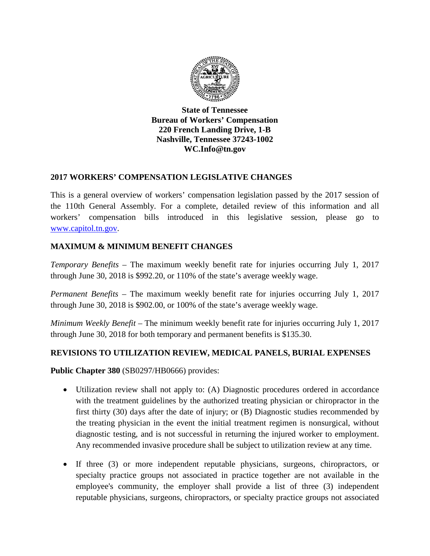

**State of Tennessee Bureau of Workers' Compensation 220 French Landing Drive, 1-B Nashville, Tennessee 37243-1002 WC.Info@tn.gov**

## **2017 WORKERS' COMPENSATION LEGISLATIVE CHANGES**

This is a general overview of workers' compensation legislation passed by the 2017 session of the 110th General Assembly. For a complete, detailed review of this information and all workers' compensation bills introduced in this legislative session, please go to [www.capitol.tn.gov.](http://www.capitol.tn.gov/)

## **MAXIMUM & MINIMUM BENEFIT CHANGES**

*Temporary Benefits –* The maximum weekly benefit rate for injuries occurring July 1, 2017 through June 30, 2018 is \$992.20, or 110% of the state's average weekly wage.

*Permanent Benefits –* The maximum weekly benefit rate for injuries occurring July 1, 2017 through June 30, 2018 is \$902.00, or 100% of the state's average weekly wage.

*Minimum Weekly Benefit –* The minimum weekly benefit rate for injuries occurring July 1, 2017 through June 30, 2018 for both temporary and permanent benefits is \$135.30.

## **REVISIONS TO UTILIZATION REVIEW, MEDICAL PANELS, BURIAL EXPENSES**

**Public Chapter 380** (SB0297/HB0666) provides:

- Utilization review shall not apply to: (A) Diagnostic procedures ordered in accordance with the treatment guidelines by the authorized treating physician or chiropractor in the first thirty (30) days after the date of injury; or (B) Diagnostic studies recommended by the treating physician in the event the initial treatment regimen is nonsurgical, without diagnostic testing, and is not successful in returning the injured worker to employment. Any recommended invasive procedure shall be subject to utilization review at any time.
- If three (3) or more independent reputable physicians, surgeons, chiropractors, or specialty practice groups not associated in practice together are not available in the employee's community, the employer shall provide a list of three (3) independent reputable physicians, surgeons, chiropractors, or specialty practice groups not associated